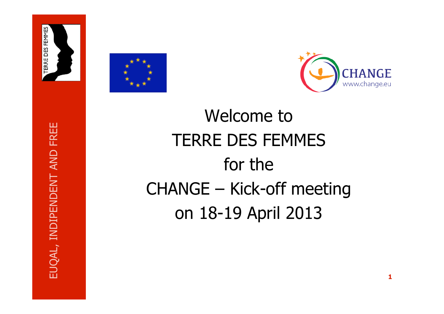





Welcome to TERRE DES FEMMES for the CHANGE – Kick-off meeting on 18-19 April 2013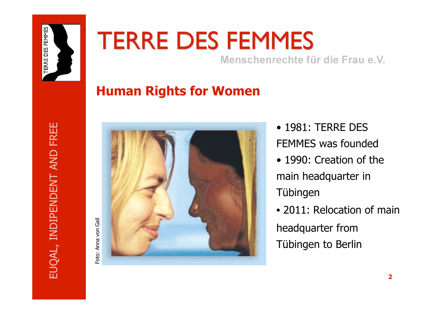

# **TERRE DES FEMMES**

Menschenrechte für die Frau e.V.

# **Human Rights for Women**



Foto: Anna von Gall

• 1981: TERRE DES FEMMES was founded • 1990: Creation of the main headquarter in Tübingen

• 2011: Relocation of main headquarter from Tübingen to Berlin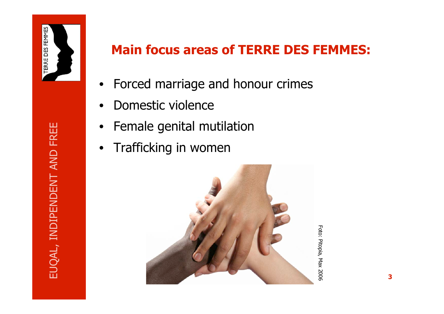

- Forced marriage and honour crimes
- Domestic violence
- Female genital mutilation
- Trafficking in women



Foto: Pitopia, Max 2006 Foto: Pitopia, Max 2006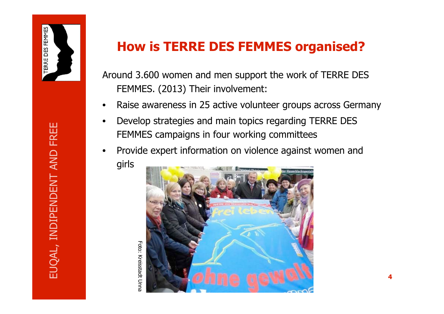

Foto: Kreisstadt Unna

## **How is TERRE DES FEMMES organised?**

Around 3.600 women and men support the work of TERRE DES FEMMES. (2013) Their involvement:

- Raise awareness in 25 active volunteer groups across Germany
- Develop strategies and main topics regarding TERRE DES FEMMES campaigns in four working committees
- Provide expert information on violence against women and girls

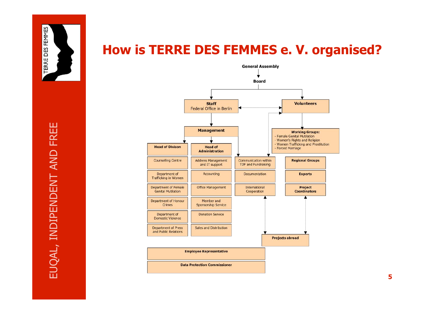

# **How is TERRE DES FEMMES e. V. organised?**

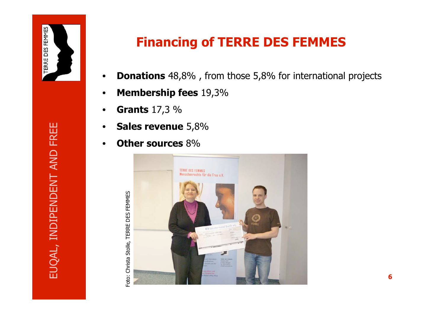

**Financing of TERRE DES FEMMES**

- **Donations** 48,8% , from those 5,8% for international projects
- **Membership fees** 19,3%
- **Grants** 17,3 %
- **Sales revenue** 5,8%
- **Other sources** 8%

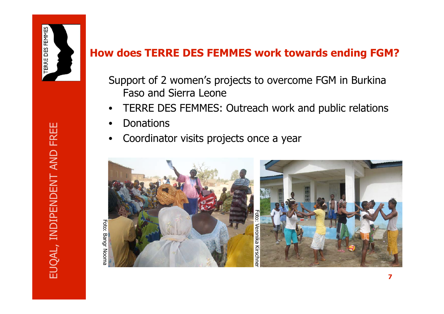

# EUQAL, INDIPENDENT AND FREE EUQAL, INDIPENDENT AND FREE

Foto: Bangr Nooma Foto: Bangr Nooma

#### **How does TERRE DES FEMMES work towards ending FGM?**

- Support of 2 women's projects to overcome FGM in Burkina Faso and Sierra Leone
- TERRE DES FEMMES: Outreach work and public relations
- Donations
- Coordinator visits projects once a year

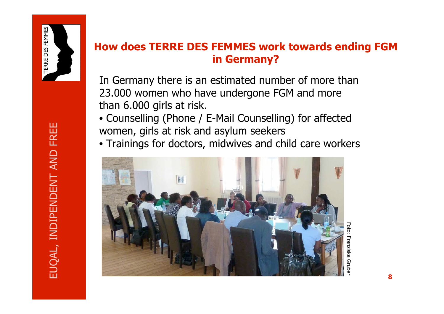

#### **How does TERRE DES FEMMES work towards ending FGM in Germany?**

In Germany there is an estimated number of more than 23.000 women who have undergone FGM and more than 6.000 girls at risk.

• Counselling (Phone / E-Mail Counselling) for affected women, girls at risk and asylum seekers

• Trainings for doctors, midwives and child care workers



Foto: Franziska GruberFranziska Grube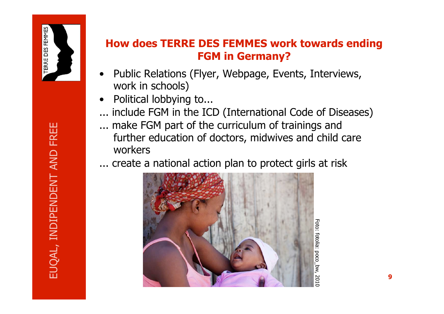

#### **How does TERRE DES FEMMES work towards ending FGM in Germany?**

- Public Relations (Flyer, Webpage, Events, Interviews, work in schools)
- Political lobbying to...
- ... include FGM in the ICD (International Code of Diseases)
- ... make FGM part of the curriculum of trainings and further education of doctors, midwives and child care workers
- ... create a national action plan to protect girls at risk



fotolia: poco bz. 201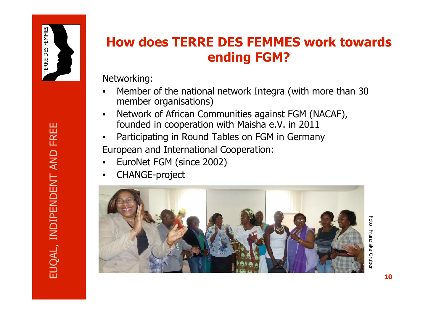

# **How does TERRE DES FEMMES work towards ending FGM?**

Networking:

- Member of the national network Integra (with more than 30 member organisations)
- Network of African Communities against FGM (NACAF), founded in cooperation with Maisha e.V. in 2011
- Participating in Round Tables on FGM in Germany European and International Cooperation:
- EuroNet FGM (since 2002)
- CHANGE-project



Foto: Franziska Grube Foto: Franziska Gruber